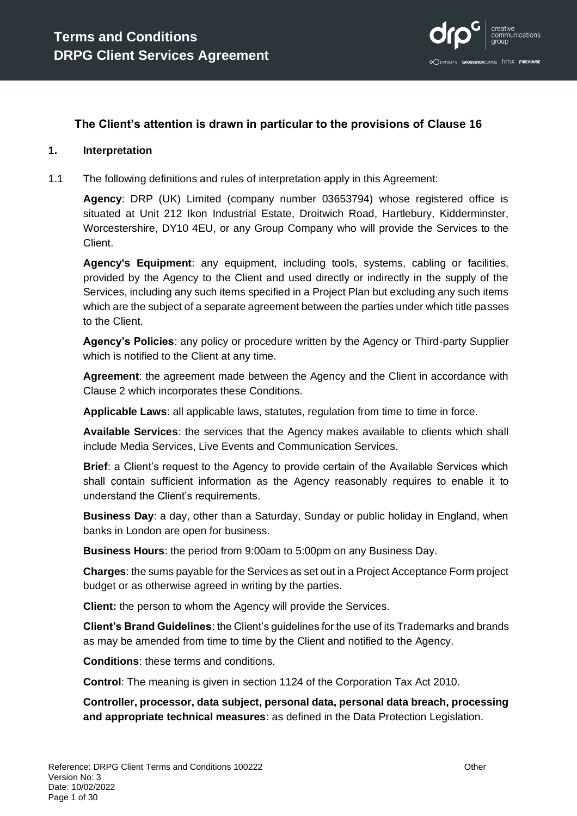

#### **The Client's attention is drawn in particular to the provisions of Clause [16](#page-21-0)**

#### **1. Interpretation**

1.1 The following definitions and rules of interpretation apply in this Agreement:

**Agency**: DRP (UK) Limited (company number 03653794) whose registered office is situated at Unit 212 Ikon Industrial Estate, Droitwich Road, Hartlebury, Kidderminster, Worcestershire, DY10 4EU, or any Group Company who will provide the Services to the Client.

**Agency's Equipment**: any equipment, including tools, systems, cabling or facilities, provided by the Agency to the Client and used directly or indirectly in the supply of the Services, including any such items specified in a Project Plan but excluding any such items which are the subject of a separate agreement between the parties under which title passes to the Client.

**Agency's Policies**: any policy or procedure written by the Agency or Third-party Supplier which is notified to the Client at any time.

**Agreement**: the agreement made between the Agency and the Client in accordance with Clause [2](#page-4-0) which incorporates these Conditions.

**Applicable Laws**: all applicable laws, statutes, regulation from time to time in force.

**Available Services**: the services that the Agency makes available to clients which shall include Media Services, Live Events and Communication Services.

**Brief**: a Client's request to the Agency to provide certain of the Available Services which shall contain sufficient information as the Agency reasonably requires to enable it to understand the Client's requirements.

**Business Day**: a day, other than a Saturday, Sunday or public holiday in England, when banks in London are open for business.

**Business Hours**: the period from 9:00am to 5:00pm on any Business Day.

**Charges**: the sums payable for the Services as set out in a Project Acceptance Form project budget or as otherwise agreed in writing by the parties.

**Client:** the person to whom the Agency will provide the Services.

**Client's Brand Guidelines**: the Client's guidelines for the use of its Trademarks and brands as may be amended from time to time by the Client and notified to the Agency.

**Conditions**: these terms and conditions.

**Control**: The meaning is given in section 1124 of the Corporation Tax Act 2010.

**Controller, processor, data subject, personal data, personal data breach, processing and appropriate technical measures**: as defined in the Data Protection Legislation.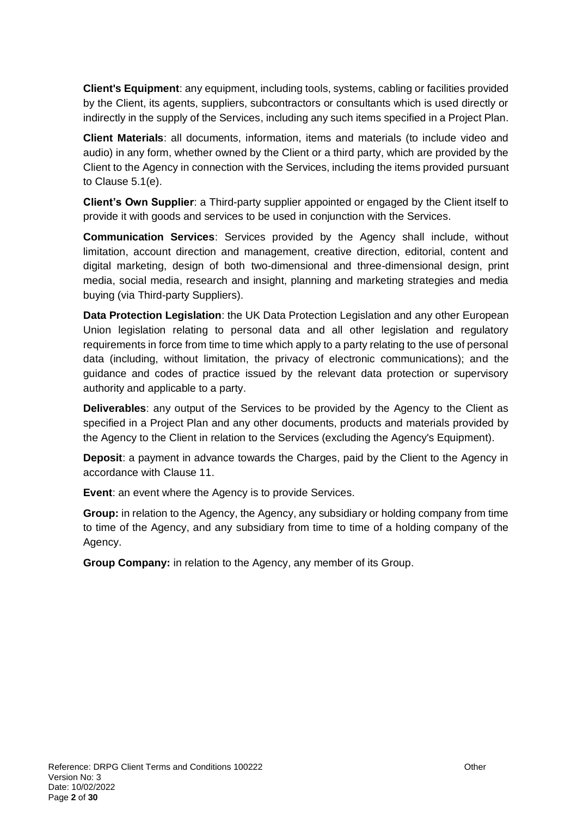**Client's Equipment**: any equipment, including tools, systems, cabling or facilities provided by the Client, its agents, suppliers, subcontractors or consultants which is used directly or indirectly in the supply of the Services, including any such items specified in a Project Plan.

**Client Materials**: all documents, information, items and materials (to include video and audio) in any form, whether owned by the Client or a third party, which are provided by the Client to the Agency in connection with the Services, including the items provided pursuant to Clause [5.1\(e\).](#page-6-0)

**Client's Own Supplier**: a Third-party supplier appointed or engaged by the Client itself to provide it with goods and services to be used in conjunction with the Services.

**Communication Services**: Services provided by the Agency shall include, without limitation, account direction and management, creative direction, editorial, content and digital marketing, design of both two-dimensional and three-dimensional design, print media, social media, research and insight, planning and marketing strategies and media buying (via Third-party Suppliers).

**Data Protection Legislation**: the UK Data Protection Legislation and any other European Union legislation relating to personal data and all other legislation and regulatory requirements in force from time to time which apply to a party relating to the use of personal data (including, without limitation, the privacy of electronic communications); and the guidance and codes of practice issued by the relevant data protection or supervisory authority and applicable to a party.

**Deliverables**: any output of the Services to be provided by the Agency to the Client as specified in a Project Plan and any other documents, products and materials provided by the Agency to the Client in relation to the Services (excluding the Agency's Equipment).

**Deposit**: a payment in advance towards the Charges, paid by the Client to the Agency in accordance with Clause [11.](#page-17-0)

**Event**: an event where the Agency is to provide Services.

**Group:** in relation to the Agency, the Agency, any subsidiary or holding company from time to time of the Agency, and any subsidiary from time to time of a holding company of the Agency.

**Group Company:** in relation to the Agency, any member of its Group.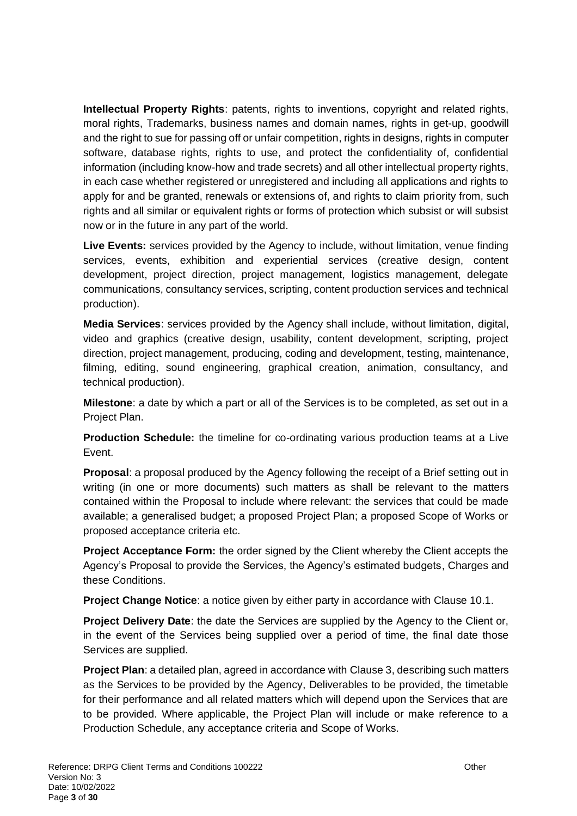**Intellectual Property Rights**: patents, rights to inventions, copyright and related rights, moral rights, Trademarks, business names and domain names, rights in get-up, goodwill and the right to sue for passing off or unfair competition, rights in designs, rights in computer software, database rights, rights to use, and protect the confidentiality of, confidential information (including know-how and trade secrets) and all other intellectual property rights, in each case whether registered or unregistered and including all applications and rights to apply for and be granted, renewals or extensions of, and rights to claim priority from, such rights and all similar or equivalent rights or forms of protection which subsist or will subsist now or in the future in any part of the world.

**Live Events:** services provided by the Agency to include, without limitation, venue finding services, events, exhibition and experiential services (creative design, content development, project direction, project management, logistics management, delegate communications, consultancy services, scripting, content production services and technical production).

**Media Services**: services provided by the Agency shall include, without limitation, digital, video and graphics (creative design, usability, content development, scripting, project direction, project management, producing, coding and development, testing, maintenance, filming, editing, sound engineering, graphical creation, animation, consultancy, and technical production).

**Milestone**: a date by which a part or all of the Services is to be completed, as set out in a Project Plan.

**Production Schedule:** the timeline for co-ordinating various production teams at a Live Event.

**Proposal**: a proposal produced by the Agency following the receipt of a Brief setting out in writing (in one or more documents) such matters as shall be relevant to the matters contained within the Proposal to include where relevant: the services that could be made available; a generalised budget; a proposed Project Plan; a proposed Scope of Works or proposed acceptance criteria etc.

**Project Acceptance Form:** the order signed by the Client whereby the Client accepts the Agency's Proposal to provide the Services, the Agency's estimated budgets, Charges and these Conditions.

**Project Change Notice**: a notice given by either party in accordance with Clause [10.1.](#page-16-0)

**Project Delivery Date**: the date the Services are supplied by the Agency to the Client or, in the event of the Services being supplied over a period of time, the final date those Services are supplied.

**Project Plan**: a detailed plan, agreed in accordance with Claus[e 3,](#page-4-1) describing such matters as the Services to be provided by the Agency, Deliverables to be provided, the timetable for their performance and all related matters which will depend upon the Services that are to be provided. Where applicable, the Project Plan will include or make reference to a Production Schedule, any acceptance criteria and Scope of Works.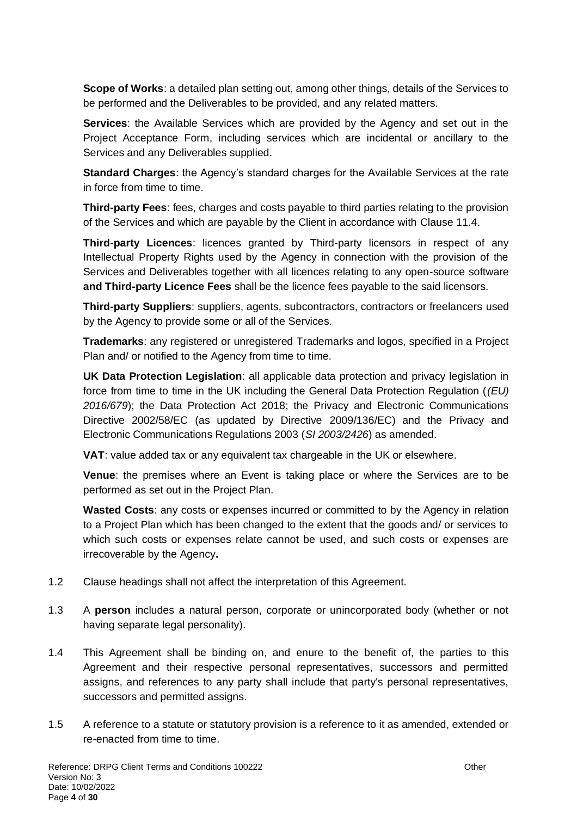**Scope of Works**: a detailed plan setting out, among other things, details of the Services to be performed and the Deliverables to be provided, and any related matters.

**Services**: the Available Services which are provided by the Agency and set out in the Project Acceptance Form, including services which are incidental or ancillary to the Services and any Deliverables supplied.

**Standard Charges**: the Agency's standard charges for the Available Services at the rate in force from time to time.

**Third-party Fees**: fees, charges and costs payable to third parties relating to the provision of the Services and which are payable by the Client in accordance with Clause [11.4.](#page-17-1)

**Third-party Licences**: licences granted by Third-party licensors in respect of any Intellectual Property Rights used by the Agency in connection with the provision of the Services and Deliverables together with all licences relating to any open-source software **and Third-party Licence Fees** shall be the licence fees payable to the said licensors.

**Third-party Suppliers**: suppliers, agents, subcontractors, contractors or freelancers used by the Agency to provide some or all of the Services.

**Trademarks**: any registered or unregistered Trademarks and logos, specified in a Project Plan and/ or notified to the Agency from time to time.

**UK Data Protection Legislation**: all applicable data protection and privacy legislation in force from time to time in the UK including the General Data Protection Regulation (*(EU) 2016/679*); the Data Protection Act 2018; the Privacy and Electronic Communications Directive 2002/58/EC (as updated by Directive 2009/136/EC) and the Privacy and Electronic Communications Regulations 2003 (*SI 2003/2426*) as amended.

**VAT**: value added tax or any equivalent tax chargeable in the UK or elsewhere.

**Venue**: the premises where an Event is taking place or where the Services are to be performed as set out in the Project Plan.

**Wasted Costs**: any costs or expenses incurred or committed to by the Agency in relation to a Project Plan which has been changed to the extent that the goods and/ or services to which such costs or expenses relate cannot be used, and such costs or expenses are irrecoverable by the Agency**.** 

- 1.2 Clause headings shall not affect the interpretation of this Agreement.
- 1.3 A **person** includes a natural person, corporate or unincorporated body (whether or not having separate legal personality).
- 1.4 This Agreement shall be binding on, and enure to the benefit of, the parties to this Agreement and their respective personal representatives, successors and permitted assigns, and references to any party shall include that party's personal representatives, successors and permitted assigns.
- 1.5 A reference to a statute or statutory provision is a reference to it as amended, extended or re-enacted from time to time.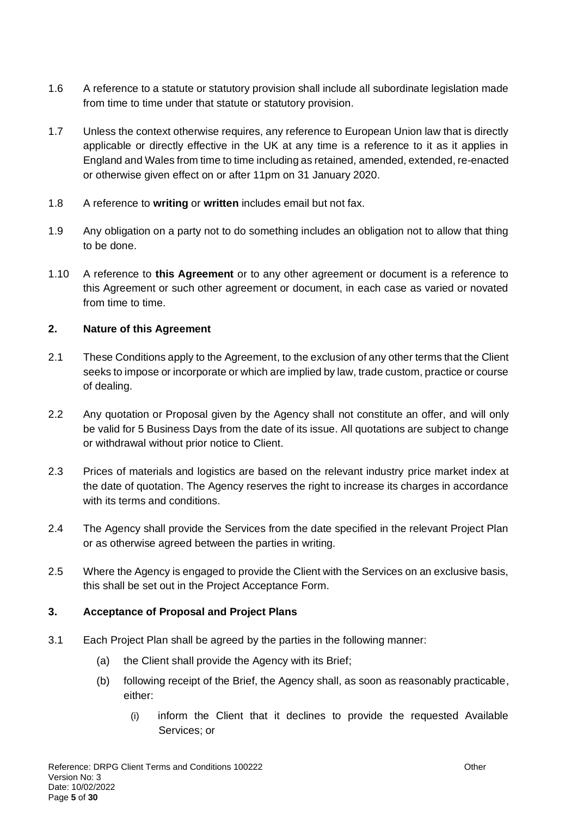- 1.6 A reference to a statute or statutory provision shall include all subordinate legislation made from time to time under that statute or statutory provision.
- 1.7 Unless the context otherwise requires, any reference to European Union law that is directly applicable or directly effective in the UK at any time is a reference to it as it applies in England and Wales from time to time including as retained, amended, extended, re-enacted or otherwise given effect on or after 11pm on 31 January 2020.
- 1.8 A reference to **writing** or **written** includes email but not fax.
- 1.9 Any obligation on a party not to do something includes an obligation not to allow that thing to be done.
- 1.10 A reference to **this Agreement** or to any other agreement or document is a reference to this Agreement or such other agreement or document, in each case as varied or novated from time to time.

### <span id="page-4-0"></span>**2. Nature of this Agreement**

- 2.1 These Conditions apply to the Agreement, to the exclusion of any other terms that the Client seeks to impose or incorporate or which are implied by law, trade custom, practice or course of dealing.
- 2.2 Any quotation or Proposal given by the Agency shall not constitute an offer, and will only be valid for 5 Business Days from the date of its issue. All quotations are subject to change or withdrawal without prior notice to Client.
- 2.3 Prices of materials and logistics are based on the relevant industry price market index at the date of quotation. The Agency reserves the right to increase its charges in accordance with its terms and conditions.
- 2.4 The Agency shall provide the Services from the date specified in the relevant Project Plan or as otherwise agreed between the parties in writing.
- 2.5 Where the Agency is engaged to provide the Client with the Services on an exclusive basis, this shall be set out in the Project Acceptance Form.

#### <span id="page-4-1"></span>**3. Acceptance of Proposal and Project Plans**

- 3.1 Each Project Plan shall be agreed by the parties in the following manner:
	- (a) the Client shall provide the Agency with its Brief;
	- (b) following receipt of the Brief, the Agency shall, as soon as reasonably practicable, either:
		- (i) inform the Client that it declines to provide the requested Available Services; or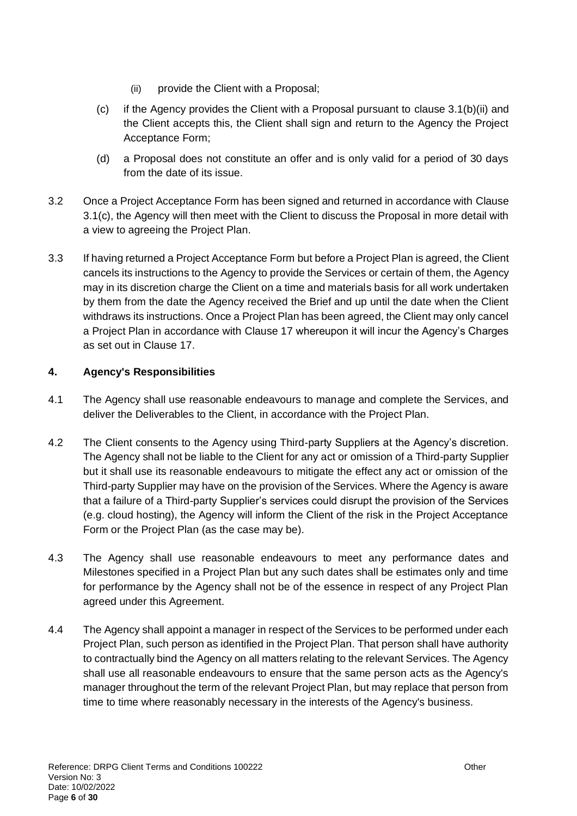- (ii) provide the Client with a Proposal;
- <span id="page-5-1"></span><span id="page-5-0"></span>(c) if the Agency provides the Client with a Proposal pursuant to clause  $3.1(b)(ii)$  and the Client accepts this, the Client shall sign and return to the Agency the Project Acceptance Form;
- (d) a Proposal does not constitute an offer and is only valid for a period of 30 days from the date of its issue.
- 3.2 Once a Project Acceptance Form has been signed and returned in accordance with Clause [3.1\(c\),](#page-5-1) the Agency will then meet with the Client to discuss the Proposal in more detail with a view to agreeing the Project Plan.
- 3.3 If having returned a Project Acceptance Form but before a Project Plan is agreed, the Client cancels its instructions to the Agency to provide the Services or certain of them, the Agency may in its discretion charge the Client on a time and materials basis for all work undertaken by them from the date the Agency received the Brief and up until the date when the Client withdraws its instructions. Once a Project Plan has been agreed, the Client may only cancel a Project Plan in accordance with Clause [17](#page-22-0) whereupon it will incur the Agency's Charges as set out in Clause [17.](#page-22-0)

# **4. Agency's Responsibilities**

- <span id="page-5-2"></span>4.1 The Agency shall use reasonable endeavours to manage and complete the Services, and deliver the Deliverables to the Client, in accordance with the Project Plan.
- 4.2 The Client consents to the Agency using Third-party Suppliers at the Agency's discretion. The Agency shall not be liable to the Client for any act or omission of a Third-party Supplier but it shall use its reasonable endeavours to mitigate the effect any act or omission of the Third-party Supplier may have on the provision of the Services. Where the Agency is aware that a failure of a Third-party Supplier's services could disrupt the provision of the Services (e.g. cloud hosting), the Agency will inform the Client of the risk in the Project Acceptance Form or the Project Plan (as the case may be).
- 4.3 The Agency shall use reasonable endeavours to meet any performance dates and Milestones specified in a Project Plan but any such dates shall be estimates only and time for performance by the Agency shall not be of the essence in respect of any Project Plan agreed under this Agreement.
- 4.4 The Agency shall appoint a manager in respect of the Services to be performed under each Project Plan, such person as identified in the Project Plan. That person shall have authority to contractually bind the Agency on all matters relating to the relevant Services. The Agency shall use all reasonable endeavours to ensure that the same person acts as the Agency's manager throughout the term of the relevant Project Plan, but may replace that person from time to time where reasonably necessary in the interests of the Agency's business.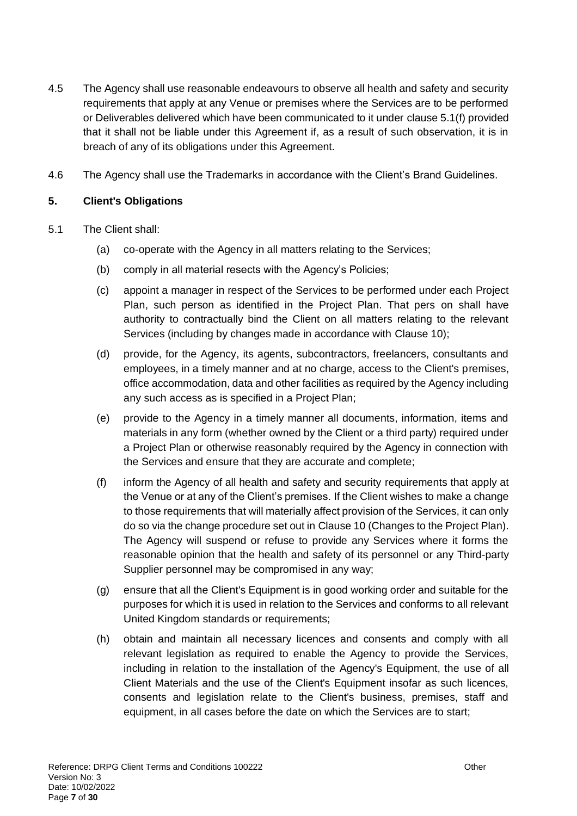- 4.5 The Agency shall use reasonable endeavours to observe all health and safety and security requirements that apply at any Venue or premises where the Services are to be performed or Deliverables delivered which have been communicated to it under [clause 5.1\(f\)](#page-6-1) provided that it shall not be liable under this Agreement if, as a result of such observation, it is in breach of any of its obligations under this Agreement.
- 4.6 The Agency shall use the Trademarks in accordance with the Client's Brand Guidelines.

#### **5. Client's Obligations**

- <span id="page-6-1"></span><span id="page-6-0"></span>5.1 The Client shall:
	- (a) co-operate with the Agency in all matters relating to the Services;
	- (b) comply in all material resects with the Agency's Policies;
	- (c) appoint a manager in respect of the Services to be performed under each Project Plan, such person as identified in the Project Plan. That pers on shall have authority to contractually bind the Client on all matters relating to the relevant Services (including by changes made in accordance with Clause [10\)](#page-16-1);
	- (d) provide, for the Agency, its agents, subcontractors, freelancers, consultants and employees, in a timely manner and at no charge, access to the Client's premises, office accommodation, data and other facilities as required by the Agency including any such access as is specified in a Project Plan;
	- (e) provide to the Agency in a timely manner all documents, information, items and materials in any form (whether owned by the Client or a third party) required under a Project Plan or otherwise reasonably required by the Agency in connection with the Services and ensure that they are accurate and complete;
	- (f) inform the Agency of all health and safety and security requirements that apply at the Venue or at any of the Client's premises. If the Client wishes to make a change to those requirements that will materially affect provision of the Services, it can only do so via the change procedure set out in Claus[e 10](#page-16-1) (Changes to the Project Plan). The Agency will suspend or refuse to provide any Services where it forms the reasonable opinion that the health and safety of its personnel or any Third-party Supplier personnel may be compromised in any way;
	- (g) ensure that all the Client's Equipment is in good working order and suitable for the purposes for which it is used in relation to the Services and conforms to all relevant United Kingdom standards or requirements;
	- (h) obtain and maintain all necessary licences and consents and comply with all relevant legislation as required to enable the Agency to provide the Services, including in relation to the installation of the Agency's Equipment, the use of all Client Materials and the use of the Client's Equipment insofar as such licences, consents and legislation relate to the Client's business, premises, staff and equipment, in all cases before the date on which the Services are to start;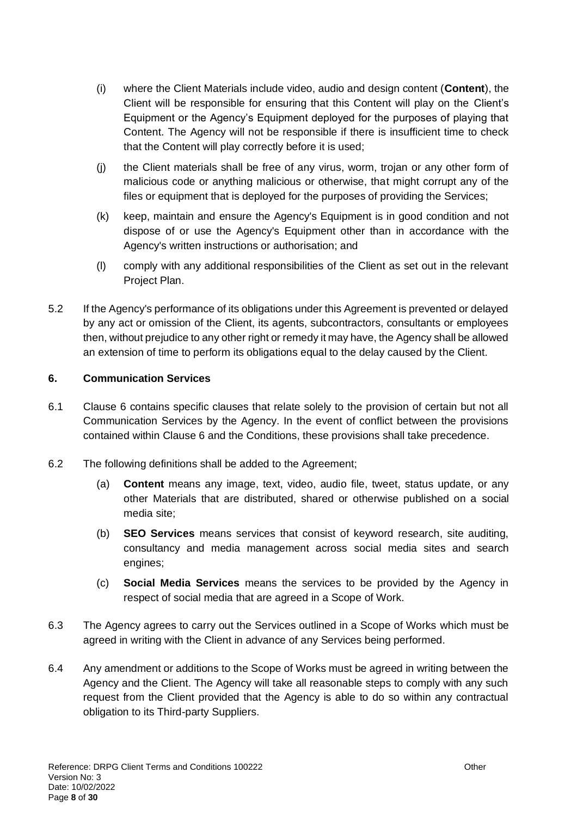- (i) where the Client Materials include video, audio and design content (**Content**), the Client will be responsible for ensuring that this Content will play on the Client's Equipment or the Agency's Equipment deployed for the purposes of playing that Content. The Agency will not be responsible if there is insufficient time to check that the Content will play correctly before it is used;
- (j) the Client materials shall be free of any virus, worm, trojan or any other form of malicious code or anything malicious or otherwise, that might corrupt any of the files or equipment that is deployed for the purposes of providing the Services;
- (k) keep, maintain and ensure the Agency's Equipment is in good condition and not dispose of or use the Agency's Equipment other than in accordance with the Agency's written instructions or authorisation; and
- (l) comply with any additional responsibilities of the Client as set out in the relevant Project Plan.
- 5.2 If the Agency's performance of its obligations under this Agreement is prevented or delayed by any act or omission of the Client, its agents, subcontractors, consultants or employees then, without prejudice to any other right or remedy it may have, the Agency shall be allowed an extension of time to perform its obligations equal to the delay caused by the Client.

### <span id="page-7-0"></span>**6. Communication Services**

- 6.1 Clause 6 contains specific clauses that relate solely to the provision of certain but not all Communication Services by the Agency. In the event of conflict between the provisions contained within Clause [6](#page-7-0) and the Conditions, these provisions shall take precedence.
- 6.2 The following definitions shall be added to the Agreement;
	- (a) **Content** means any image, text, video, audio file, tweet, status update, or any other Materials that are distributed, shared or otherwise published on a social media site;
	- (b) **SEO Services** means services that consist of keyword research, site auditing, consultancy and media management across social media sites and search engines;
	- (c) **Social Media Services** means the services to be provided by the Agency in respect of social media that are agreed in a Scope of Work.
- 6.3 The Agency agrees to carry out the Services outlined in a Scope of Works which must be agreed in writing with the Client in advance of any Services being performed.
- 6.4 Any amendment or additions to the Scope of Works must be agreed in writing between the Agency and the Client. The Agency will take all reasonable steps to comply with any such request from the Client provided that the Agency is able to do so within any contractual obligation to its Third-party Suppliers.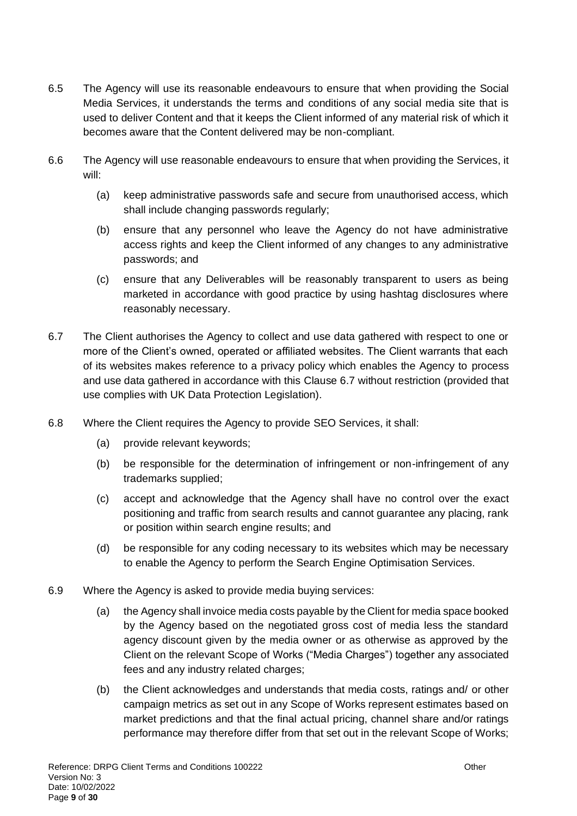- 6.5 The Agency will use its reasonable endeavours to ensure that when providing the Social Media Services, it understands the terms and conditions of any social media site that is used to deliver Content and that it keeps the Client informed of any material risk of which it becomes aware that the Content delivered may be non-compliant.
- 6.6 The Agency will use reasonable endeavours to ensure that when providing the Services, it will:
	- (a) keep administrative passwords safe and secure from unauthorised access, which shall include changing passwords regularly;
	- (b) ensure that any personnel who leave the Agency do not have administrative access rights and keep the Client informed of any changes to any administrative passwords; and
	- (c) ensure that any Deliverables will be reasonably transparent to users as being marketed in accordance with good practice by using hashtag disclosures where reasonably necessary.
- <span id="page-8-0"></span>6.7 The Client authorises the Agency to collect and use data gathered with respect to one or more of the Client's owned, operated or affiliated websites. The Client warrants that each of its websites makes reference to a privacy policy which enables the Agency to process and use data gathered in accordance with this Clause [6.7](#page-8-0) without restriction (provided that use complies with UK Data Protection Legislation).
- 6.8 Where the Client requires the Agency to provide SEO Services, it shall:
	- (a) provide relevant keywords;
	- (b) be responsible for the determination of infringement or non-infringement of any trademarks supplied;
	- (c) accept and acknowledge that the Agency shall have no control over the exact positioning and traffic from search results and cannot guarantee any placing, rank or position within search engine results; and
	- (d) be responsible for any coding necessary to its websites which may be necessary to enable the Agency to perform the Search Engine Optimisation Services.
- 6.9 Where the Agency is asked to provide media buying services:
	- (a) the Agency shall invoice media costs payable by the Client for media space booked by the Agency based on the negotiated gross cost of media less the standard agency discount given by the media owner or as otherwise as approved by the Client on the relevant Scope of Works ("Media Charges") together any associated fees and any industry related charges;
	- (b) the Client acknowledges and understands that media costs, ratings and/ or other campaign metrics as set out in any Scope of Works represent estimates based on market predictions and that the final actual pricing, channel share and/or ratings performance may therefore differ from that set out in the relevant Scope of Works;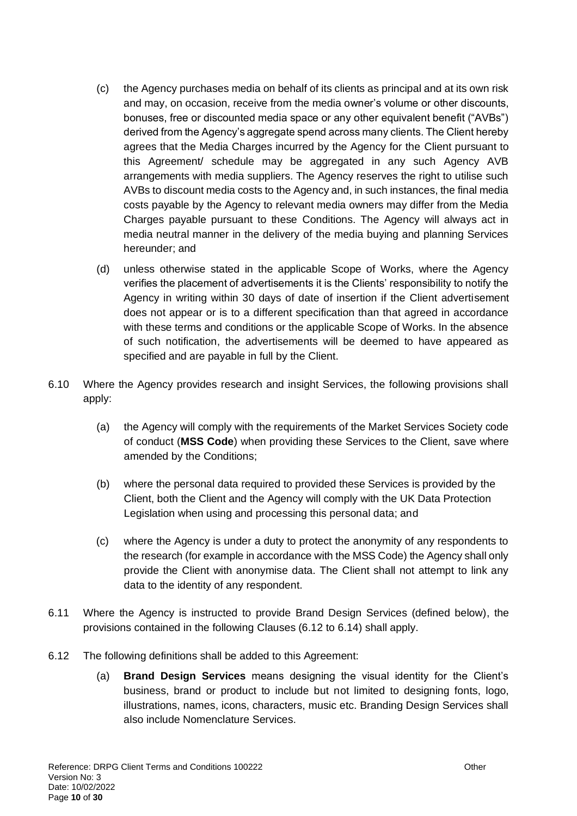- (c) the Agency purchases media on behalf of its clients as principal and at its own risk and may, on occasion, receive from the media owner's volume or other discounts, bonuses, free or discounted media space or any other equivalent benefit ("AVBs") derived from the Agency's aggregate spend across many clients. The Client hereby agrees that the Media Charges incurred by the Agency for the Client pursuant to this Agreement/ schedule may be aggregated in any such Agency AVB arrangements with media suppliers. The Agency reserves the right to utilise such AVBs to discount media costs to the Agency and, in such instances, the final media costs payable by the Agency to relevant media owners may differ from the Media Charges payable pursuant to these Conditions. The Agency will always act in media neutral manner in the delivery of the media buying and planning Services hereunder; and
- (d) unless otherwise stated in the applicable Scope of Works, where the Agency verifies the placement of advertisements it is the Clients' responsibility to notify the Agency in writing within 30 days of date of insertion if the Client advertisement does not appear or is to a different specification than that agreed in accordance with these terms and conditions or the applicable Scope of Works. In the absence of such notification, the advertisements will be deemed to have appeared as specified and are payable in full by the Client.
- 6.10 Where the Agency provides research and insight Services, the following provisions shall apply:
	- (a) the Agency will comply with the requirements of the Market Services Society code of conduct (**MSS Code**) when providing these Services to the Client, save where amended by the Conditions;
	- (b) where the personal data required to provided these Services is provided by the Client, both the Client and the Agency will comply with the UK Data Protection Legislation when using and processing this personal data; and
	- (c) where the Agency is under a duty to protect the anonymity of any respondents to the research (for example in accordance with the MSS Code) the Agency shall only provide the Client with anonymise data. The Client shall not attempt to link any data to the identity of any respondent.
- 6.11 Where the Agency is instructed to provide Brand Design Services (defined below), the provisions contained in the following Clauses [\(6.12](#page-9-0) to [6.14\)](#page-10-0) shall apply.
- <span id="page-9-0"></span>6.12 The following definitions shall be added to this Agreement:
	- (a) **Brand Design Services** means designing the visual identity for the Client's business, brand or product to include but not limited to designing fonts, logo, illustrations, names, icons, characters, music etc. Branding Design Services shall also include Nomenclature Services.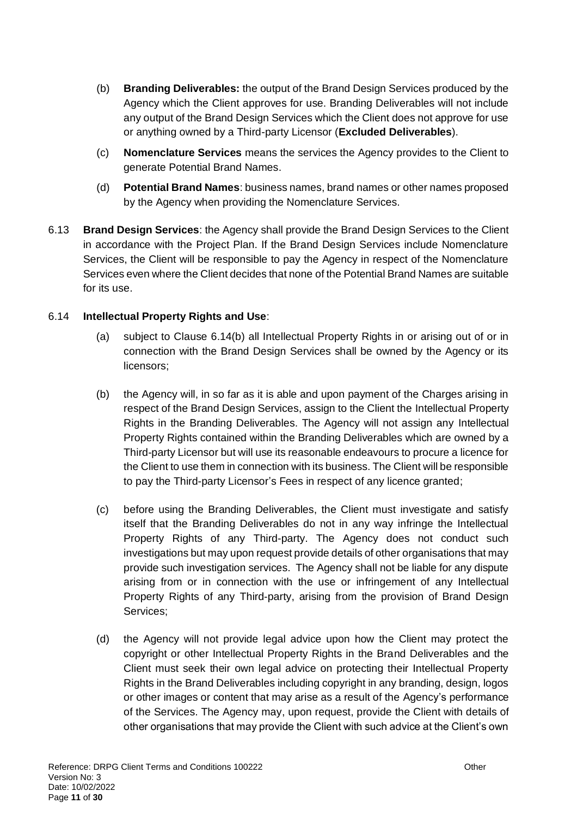- (b) **Branding Deliverables:** the output of the Brand Design Services produced by the Agency which the Client approves for use. Branding Deliverables will not include any output of the Brand Design Services which the Client does not approve for use or anything owned by a Third-party Licensor (**Excluded Deliverables**).
- (c) **Nomenclature Services** means the services the Agency provides to the Client to generate Potential Brand Names.
- (d) **Potential Brand Names**: business names, brand names or other names proposed by the Agency when providing the Nomenclature Services.
- 6.13 **Brand Design Services**: the Agency shall provide the Brand Design Services to the Client in accordance with the Project Plan. If the Brand Design Services include Nomenclature Services, the Client will be responsible to pay the Agency in respect of the Nomenclature Services even where the Client decides that none of the Potential Brand Names are suitable for its use.

## <span id="page-10-0"></span>6.14 **Intellectual Property Rights and Use**:

- (a) subject to Clause [6.14](#page-10-0)[\(b\)](#page-10-1) all Intellectual Property Rights in or arising out of or in connection with the Brand Design Services shall be owned by the Agency or its licensors;
- <span id="page-10-1"></span>(b) the Agency will, in so far as it is able and upon payment of the Charges arising in respect of the Brand Design Services, assign to the Client the Intellectual Property Rights in the Branding Deliverables. The Agency will not assign any Intellectual Property Rights contained within the Branding Deliverables which are owned by a Third-party Licensor but will use its reasonable endeavours to procure a licence for the Client to use them in connection with its business. The Client will be responsible to pay the Third-party Licensor's Fees in respect of any licence granted;
- (c) before using the Branding Deliverables, the Client must investigate and satisfy itself that the Branding Deliverables do not in any way infringe the Intellectual Property Rights of any Third-party. The Agency does not conduct such investigations but may upon request provide details of other organisations that may provide such investigation services. The Agency shall not be liable for any dispute arising from or in connection with the use or infringement of any Intellectual Property Rights of any Third-party, arising from the provision of Brand Design Services;
- (d) the Agency will not provide legal advice upon how the Client may protect the copyright or other Intellectual Property Rights in the Brand Deliverables and the Client must seek their own legal advice on protecting their Intellectual Property Rights in the Brand Deliverables including copyright in any branding, design, logos or other images or content that may arise as a result of the Agency's performance of the Services. The Agency may, upon request, provide the Client with details of other organisations that may provide the Client with such advice at the Client's own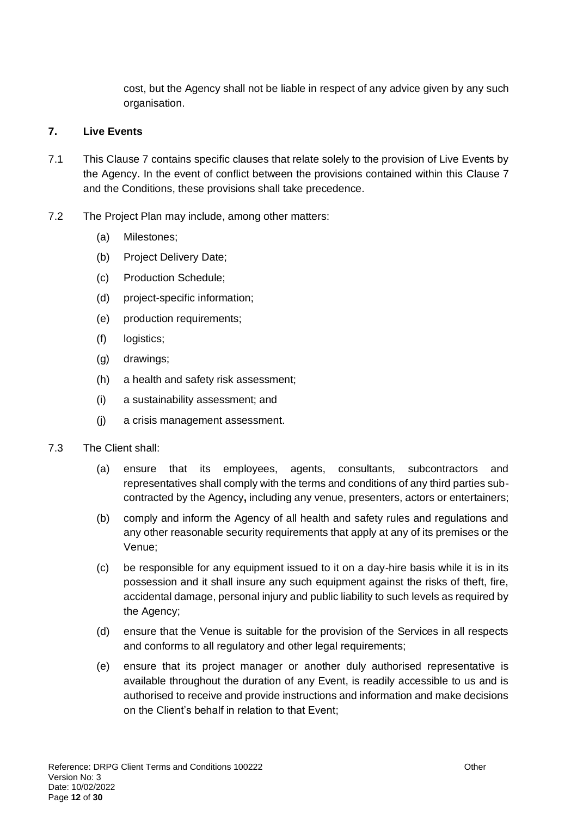cost, but the Agency shall not be liable in respect of any advice given by any such organisation.

### <span id="page-11-0"></span>**7. Live Events**

- 7.1 This Clause [7](#page-11-0) contains specific clauses that relate solely to the provision of Live Events by the Agency. In the event of conflict between the provisions contained within this Clause [7](#page-11-0) and the Conditions, these provisions shall take precedence.
- 7.2 The Project Plan may include, among other matters:
	- (a) Milestones;
	- (b) Project Delivery Date;
	- (c) Production Schedule;
	- (d) project-specific information;
	- (e) production requirements;
	- (f) logistics;
	- (g) drawings;
	- (h) a health and safety risk assessment;
	- (i) a sustainability assessment; and
	- (j) a crisis management assessment.
- 7.3 The Client shall:
	- (a) ensure that its employees, agents, consultants, subcontractors and representatives shall comply with the terms and conditions of any third parties subcontracted by the Agency**,** including any venue, presenters, actors or entertainers;
	- (b) comply and inform the Agency of all health and safety rules and regulations and any other reasonable security requirements that apply at any of its premises or the Venue;
	- (c) be responsible for any equipment issued to it on a day-hire basis while it is in its possession and it shall insure any such equipment against the risks of theft, fire, accidental damage, personal injury and public liability to such levels as required by the Agency;
	- (d) ensure that the Venue is suitable for the provision of the Services in all respects and conforms to all regulatory and other legal requirements;
	- (e) ensure that its project manager or another duly authorised representative is available throughout the duration of any Event, is readily accessible to us and is authorised to receive and provide instructions and information and make decisions on the Client's behalf in relation to that Event;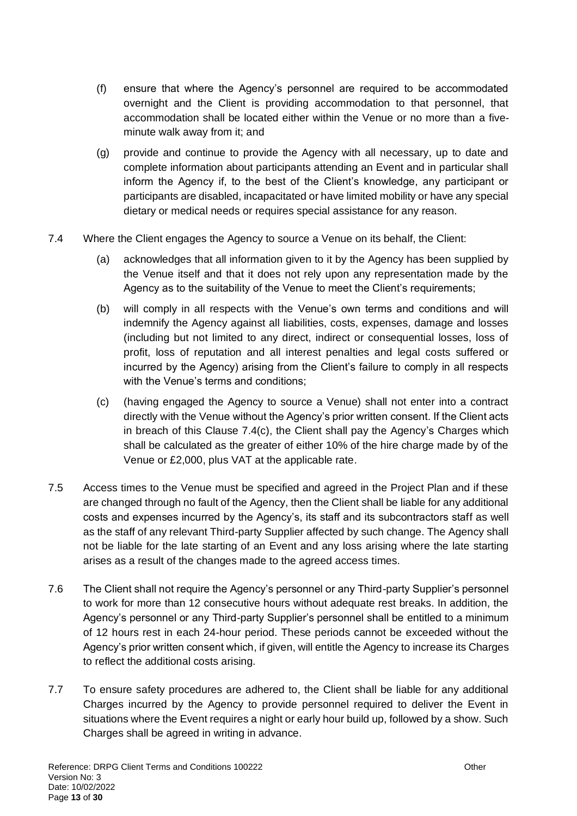- (f) ensure that where the Agency's personnel are required to be accommodated overnight and the Client is providing accommodation to that personnel, that accommodation shall be located either within the Venue or no more than a fiveminute walk away from it; and
- (g) provide and continue to provide the Agency with all necessary, up to date and complete information about participants attending an Event and in particular shall inform the Agency if, to the best of the Client's knowledge, any participant or participants are disabled, incapacitated or have limited mobility or have any special dietary or medical needs or requires special assistance for any reason.
- <span id="page-12-0"></span>7.4 Where the Client engages the Agency to source a Venue on its behalf, the Client:
	- (a) acknowledges that all information given to it by the Agency has been supplied by the Venue itself and that it does not rely upon any representation made by the Agency as to the suitability of the Venue to meet the Client's requirements;
	- (b) will comply in all respects with the Venue's own terms and conditions and will indemnify the Agency against all liabilities, costs, expenses, damage and losses (including but not limited to any direct, indirect or consequential losses, loss of profit, loss of reputation and all interest penalties and legal costs suffered or incurred by the Agency) arising from the Client's failure to comply in all respects with the Venue's terms and conditions;
	- (c) (having engaged the Agency to source a Venue) shall not enter into a contract directly with the Venue without the Agency's prior written consent. If the Client acts in breach of this Clause [7.4](#page-12-0)[\(c\),](#page-12-1) the Client shall pay the Agency's Charges which shall be calculated as the greater of either 10% of the hire charge made by of the Venue or £2,000, plus VAT at the applicable rate.
- <span id="page-12-1"></span>7.5 Access times to the Venue must be specified and agreed in the Project Plan and if these are changed through no fault of the Agency, then the Client shall be liable for any additional costs and expenses incurred by the Agency's, its staff and its subcontractors staff as well as the staff of any relevant Third-party Supplier affected by such change. The Agency shall not be liable for the late starting of an Event and any loss arising where the late starting arises as a result of the changes made to the agreed access times.
- 7.6 The Client shall not require the Agency's personnel or any Third-party Supplier's personnel to work for more than 12 consecutive hours without adequate rest breaks. In addition, the Agency's personnel or any Third-party Supplier's personnel shall be entitled to a minimum of 12 hours rest in each 24-hour period. These periods cannot be exceeded without the Agency's prior written consent which, if given, will entitle the Agency to increase its Charges to reflect the additional costs arising.
- 7.7 To ensure safety procedures are adhered to, the Client shall be liable for any additional Charges incurred by the Agency to provide personnel required to deliver the Event in situations where the Event requires a night or early hour build up, followed by a show. Such Charges shall be agreed in writing in advance.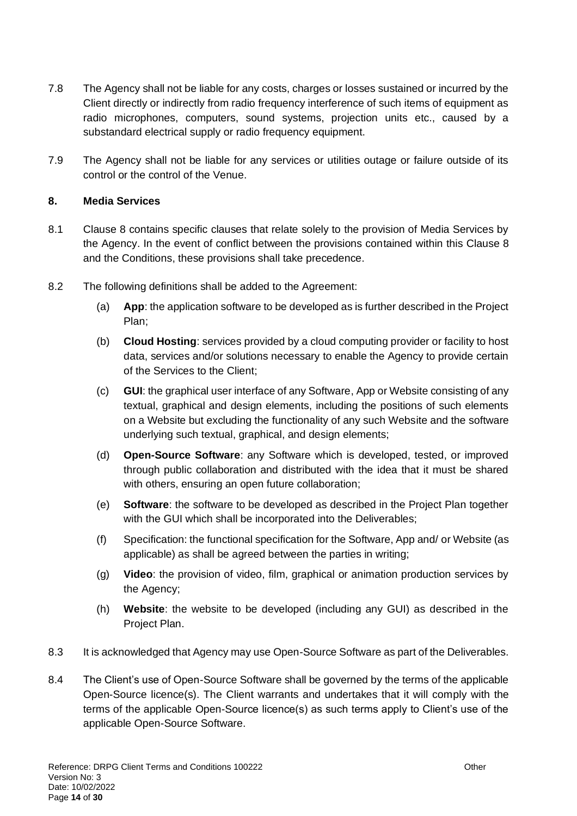- 7.8 The Agency shall not be liable for any costs, charges or losses sustained or incurred by the Client directly or indirectly from radio frequency interference of such items of equipment as radio microphones, computers, sound systems, projection units etc., caused by a substandard electrical supply or radio frequency equipment.
- 7.9 The Agency shall not be liable for any services or utilities outage or failure outside of its control or the control of the Venue.

### <span id="page-13-0"></span>**8. Media Services**

- 8.1 Clause [8](#page-13-0) contains specific clauses that relate solely to the provision of Media Services by the Agency. In the event of conflict between the provisions contained within this Clause [8](#page-13-0) and the Conditions, these provisions shall take precedence.
- 8.2 The following definitions shall be added to the Agreement:
	- (a) **App**: the application software to be developed as is further described in the Project Plan;
	- (b) **Cloud Hosting**: services provided by a cloud computing provider or facility to host data, services and/or solutions necessary to enable the Agency to provide certain of the Services to the Client;
	- (c) **GUI**: the graphical user interface of any Software, App or Website consisting of any textual, graphical and design elements, including the positions of such elements on a Website but excluding the functionality of any such Website and the software underlying such textual, graphical, and design elements;
	- (d) **Open-Source Software**: any Software which is developed, tested, or improved through public collaboration and distributed with the idea that it must be shared with others, ensuring an open future collaboration;
	- (e) **Software**: the software to be developed as described in the Project Plan together with the GUI which shall be incorporated into the Deliverables:
	- (f) Specification: the functional specification for the Software, App and/ or Website (as applicable) as shall be agreed between the parties in writing;
	- (g) **Video**: the provision of video, film, graphical or animation production services by the Agency;
	- (h) **Website**: the website to be developed (including any GUI) as described in the Project Plan.
- 8.3 It is acknowledged that Agency may use Open-Source Software as part of the Deliverables.
- 8.4 The Client's use of Open-Source Software shall be governed by the terms of the applicable Open-Source licence(s). The Client warrants and undertakes that it will comply with the terms of the applicable Open-Source licence(s) as such terms apply to Client's use of the applicable Open-Source Software.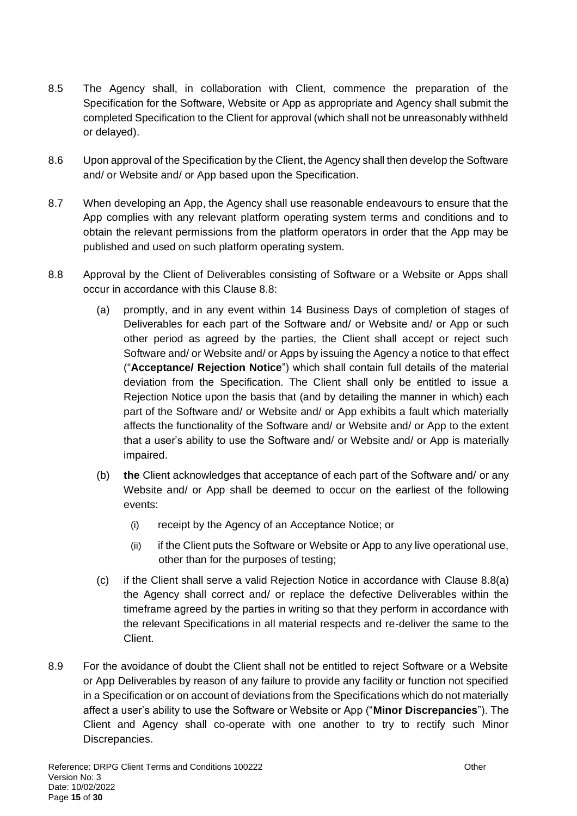- 8.5 The Agency shall, in collaboration with Client, commence the preparation of the Specification for the Software, Website or App as appropriate and Agency shall submit the completed Specification to the Client for approval (which shall not be unreasonably withheld or delayed).
- 8.6 Upon approval of the Specification by the Client, the Agency shall then develop the Software and/ or Website and/ or App based upon the Specification.
- 8.7 When developing an App, the Agency shall use reasonable endeavours to ensure that the App complies with any relevant platform operating system terms and conditions and to obtain the relevant permissions from the platform operators in order that the App may be published and used on such platform operating system.
- <span id="page-14-1"></span><span id="page-14-0"></span>8.8 Approval by the Client of Deliverables consisting of Software or a Website or Apps shall occur in accordance with this Clause [8.8:](#page-14-0)
	- (a) promptly, and in any event within 14 Business Days of completion of stages of Deliverables for each part of the Software and/ or Website and/ or App or such other period as agreed by the parties, the Client shall accept or reject such Software and/ or Website and/ or Apps by issuing the Agency a notice to that effect ("**Acceptance/ Rejection Notice**") which shall contain full details of the material deviation from the Specification. The Client shall only be entitled to issue a Rejection Notice upon the basis that (and by detailing the manner in which) each part of the Software and/ or Website and/ or App exhibits a fault which materially affects the functionality of the Software and/ or Website and/ or App to the extent that a user's ability to use the Software and/ or Website and/ or App is materially impaired.
	- (b) **the** Client acknowledges that acceptance of each part of the Software and/ or any Website and/ or App shall be deemed to occur on the earliest of the following events:
		- (i) receipt by the Agency of an Acceptance Notice; or
		- (ii) if the Client puts the Software or Website or App to any live operational use, other than for the purposes of testing;
	- (c) if the Client shall serve a valid Rejection Notice in accordance with Clause [8.8](#page-14-0)[\(a\)](#page-14-1) the Agency shall correct and/ or replace the defective Deliverables within the timeframe agreed by the parties in writing so that they perform in accordance with the relevant Specifications in all material respects and re-deliver the same to the Client.
- 8.9 For the avoidance of doubt the Client shall not be entitled to reject Software or a Website or App Deliverables by reason of any failure to provide any facility or function not specified in a Specification or on account of deviations from the Specifications which do not materially affect a user's ability to use the Software or Website or App ("**Minor Discrepancies**"). The Client and Agency shall co-operate with one another to try to rectify such Minor Discrepancies.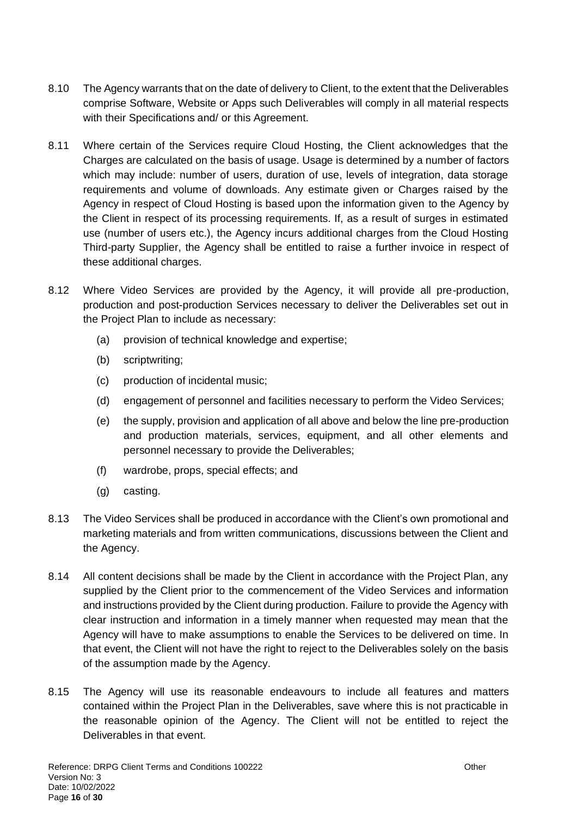- 8.10 The Agency warrants that on the date of delivery to Client, to the extent that the Deliverables comprise Software, Website or Apps such Deliverables will comply in all material respects with their Specifications and/ or this Agreement.
- 8.11 Where certain of the Services require Cloud Hosting, the Client acknowledges that the Charges are calculated on the basis of usage. Usage is determined by a number of factors which may include: number of users, duration of use, levels of integration, data storage requirements and volume of downloads. Any estimate given or Charges raised by the Agency in respect of Cloud Hosting is based upon the information given to the Agency by the Client in respect of its processing requirements. If, as a result of surges in estimated use (number of users etc.), the Agency incurs additional charges from the Cloud Hosting Third-party Supplier, the Agency shall be entitled to raise a further invoice in respect of these additional charges.
- 8.12 Where Video Services are provided by the Agency, it will provide all pre-production, production and post-production Services necessary to deliver the Deliverables set out in the Project Plan to include as necessary:
	- (a) provision of technical knowledge and expertise;
	- (b) scriptwriting;
	- (c) production of incidental music;
	- (d) engagement of personnel and facilities necessary to perform the Video Services;
	- (e) the supply, provision and application of all above and below the line pre-production and production materials, services, equipment, and all other elements and personnel necessary to provide the Deliverables;
	- (f) wardrobe, props, special effects; and
	- (g) casting.
- 8.13 The Video Services shall be produced in accordance with the Client's own promotional and marketing materials and from written communications, discussions between the Client and the Agency.
- 8.14 All content decisions shall be made by the Client in accordance with the Project Plan, any supplied by the Client prior to the commencement of the Video Services and information and instructions provided by the Client during production. Failure to provide the Agency with clear instruction and information in a timely manner when requested may mean that the Agency will have to make assumptions to enable the Services to be delivered on time. In that event, the Client will not have the right to reject to the Deliverables solely on the basis of the assumption made by the Agency.
- 8.15 The Agency will use its reasonable endeavours to include all features and matters contained within the Project Plan in the Deliverables, save where this is not practicable in the reasonable opinion of the Agency. The Client will not be entitled to reject the Deliverables in that event.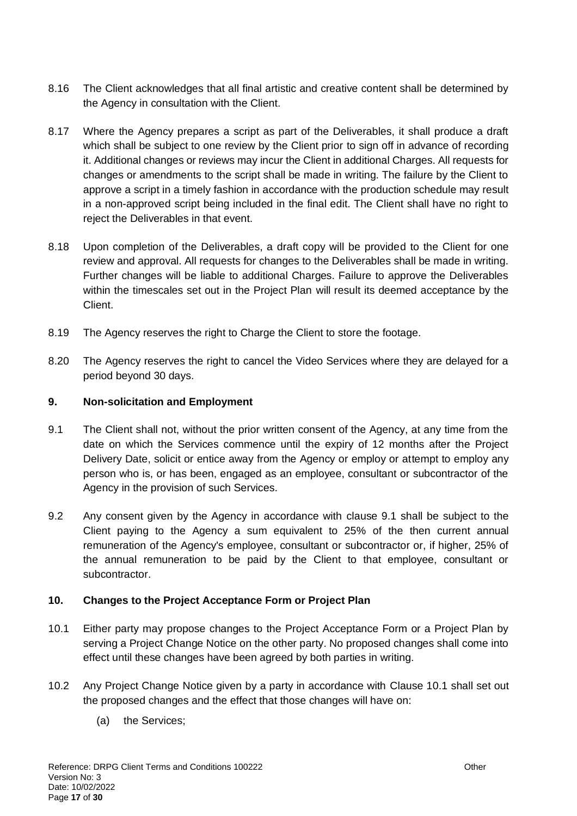- 8.16 The Client acknowledges that all final artistic and creative content shall be determined by the Agency in consultation with the Client.
- 8.17 Where the Agency prepares a script as part of the Deliverables, it shall produce a draft which shall be subject to one review by the Client prior to sign off in advance of recording it. Additional changes or reviews may incur the Client in additional Charges. All requests for changes or amendments to the script shall be made in writing. The failure by the Client to approve a script in a timely fashion in accordance with the production schedule may result in a non-approved script being included in the final edit. The Client shall have no right to reject the Deliverables in that event.
- 8.18 Upon completion of the Deliverables, a draft copy will be provided to the Client for one review and approval. All requests for changes to the Deliverables shall be made in writing. Further changes will be liable to additional Charges. Failure to approve the Deliverables within the timescales set out in the Project Plan will result its deemed acceptance by the Client.
- 8.19 The Agency reserves the right to Charge the Client to store the footage.
- 8.20 The Agency reserves the right to cancel the Video Services where they are delayed for a period beyond 30 days.

## **9. Non-solicitation and Employment**

- <span id="page-16-2"></span>9.1 The Client shall not, without the prior written consent of the Agency, at any time from the date on which the Services commence until the expiry of 12 months after the Project Delivery Date, solicit or entice away from the Agency or employ or attempt to employ any person who is, or has been, engaged as an employee, consultant or subcontractor of the Agency in the provision of such Services.
- 9.2 Any consent given by the Agency in accordance with [clause 9.1](#page-16-2) shall be subject to the Client paying to the Agency a sum equivalent to 25% of the then current annual remuneration of the Agency's employee, consultant or subcontractor or, if higher, 25% of the annual remuneration to be paid by the Client to that employee, consultant or subcontractor.

### <span id="page-16-1"></span>**10. Changes to the Project Acceptance Form or Project Plan**

- <span id="page-16-0"></span>10.1 Either party may propose changes to the Project Acceptance Form or a Project Plan by serving a Project Change Notice on the other party. No proposed changes shall come into effect until these changes have been agreed by both parties in writing.
- 10.2 Any Project Change Notice given by a party in accordance with Clause [10.1](#page-16-0) shall set out the proposed changes and the effect that those changes will have on:
	- (a) the Services;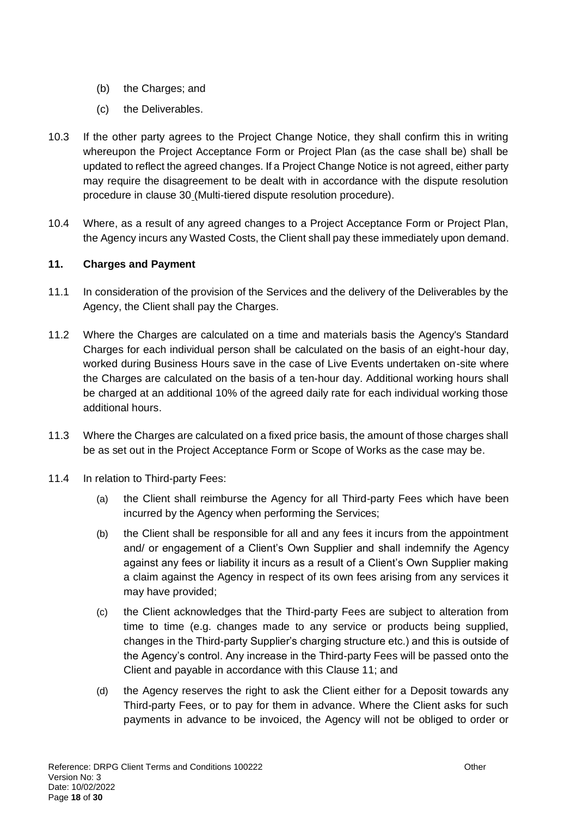- (b) the Charges; and
- (c) the Deliverables.
- 10.3 If the other party agrees to the Project Change Notice, they shall confirm this in writing whereupon the Project Acceptance Form or Project Plan (as the case shall be) shall be updated to reflect the agreed changes. If a Project Change Notice is not agreed, either party may require the disagreement to be dealt with in accordance with the dispute resolution procedure in [clause 30](#page-28-0) (Multi-tiered dispute resolution procedure).
- 10.4 Where, as a result of any agreed changes to a Project Acceptance Form or Project Plan, the Agency incurs any Wasted Costs, the Client shall pay these immediately upon demand.

### <span id="page-17-0"></span>**11. Charges and Payment**

- 11.1 In consideration of the provision of the Services and the delivery of the Deliverables by the Agency, the Client shall pay the Charges.
- 11.2 Where the Charges are calculated on a time and materials basis the Agency's Standard Charges for each individual person shall be calculated on the basis of an eight-hour day, worked during Business Hours save in the case of Live Events undertaken on-site where the Charges are calculated on the basis of a ten-hour day. Additional working hours shall be charged at an additional 10% of the agreed daily rate for each individual working those additional hours.
- 11.3 Where the Charges are calculated on a fixed price basis, the amount of those charges shall be as set out in the Project Acceptance Form or Scope of Works as the case may be.
- <span id="page-17-1"></span>11.4 In relation to Third-party Fees:
	- (a) the Client shall reimburse the Agency for all Third-party Fees which have been incurred by the Agency when performing the Services;
	- (b) the Client shall be responsible for all and any fees it incurs from the appointment and/ or engagement of a Client's Own Supplier and shall indemnify the Agency against any fees or liability it incurs as a result of a Client's Own Supplier making a claim against the Agency in respect of its own fees arising from any services it may have provided;
	- (c) the Client acknowledges that the Third-party Fees are subject to alteration from time to time (e.g. changes made to any service or products being supplied, changes in the Third-party Supplier's charging structure etc.) and this is outside of the Agency's control. Any increase in the Third-party Fees will be passed onto the Client and payable in accordance with this Clause [11;](#page-17-0) and
	- (d) the Agency reserves the right to ask the Client either for a Deposit towards any Third-party Fees, or to pay for them in advance. Where the Client asks for such payments in advance to be invoiced, the Agency will not be obliged to order or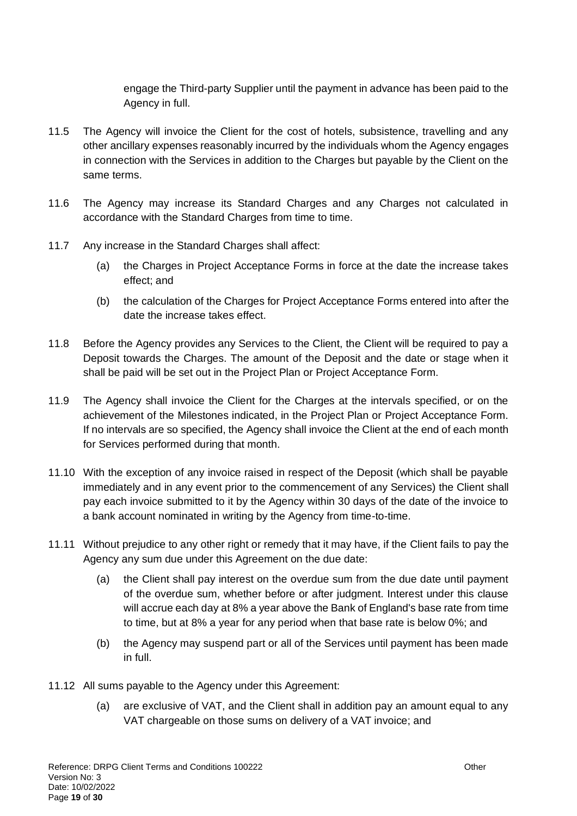engage the Third-party Supplier until the payment in advance has been paid to the Agency in full.

- 11.5 The Agency will invoice the Client for the cost of hotels, subsistence, travelling and any other ancillary expenses reasonably incurred by the individuals whom the Agency engages in connection with the Services in addition to the Charges but payable by the Client on the same terms.
- 11.6 The Agency may increase its Standard Charges and any Charges not calculated in accordance with the Standard Charges from time to time.
- 11.7 Any increase in the Standard Charges shall affect:
	- (a) the Charges in Project Acceptance Forms in force at the date the increase takes effect; and
	- (b) the calculation of the Charges for Project Acceptance Forms entered into after the date the increase takes effect.
- 11.8 Before the Agency provides any Services to the Client, the Client will be required to pay a Deposit towards the Charges. The amount of the Deposit and the date or stage when it shall be paid will be set out in the Project Plan or Project Acceptance Form.
- 11.9 The Agency shall invoice the Client for the Charges at the intervals specified, or on the achievement of the Milestones indicated, in the Project Plan or Project Acceptance Form. If no intervals are so specified, the Agency shall invoice the Client at the end of each month for Services performed during that month.
- 11.10 With the exception of any invoice raised in respect of the Deposit (which shall be payable immediately and in any event prior to the commencement of any Services) the Client shall pay each invoice submitted to it by the Agency within 30 days of the date of the invoice to a bank account nominated in writing by the Agency from time-to-time.
- 11.11 Without prejudice to any other right or remedy that it may have, if the Client fails to pay the Agency any sum due under this Agreement on the due date:
	- (a) the Client shall pay interest on the overdue sum from the due date until payment of the overdue sum, whether before or after judgment. Interest under this clause will accrue each day at 8% a year above the Bank of England's base rate from time to time, but at 8% a year for any period when that base rate is below 0%; and
	- (b) the Agency may suspend part or all of the Services until payment has been made in full.
- 11.12 All sums payable to the Agency under this Agreement:
	- (a) are exclusive of VAT, and the Client shall in addition pay an amount equal to any VAT chargeable on those sums on delivery of a VAT invoice; and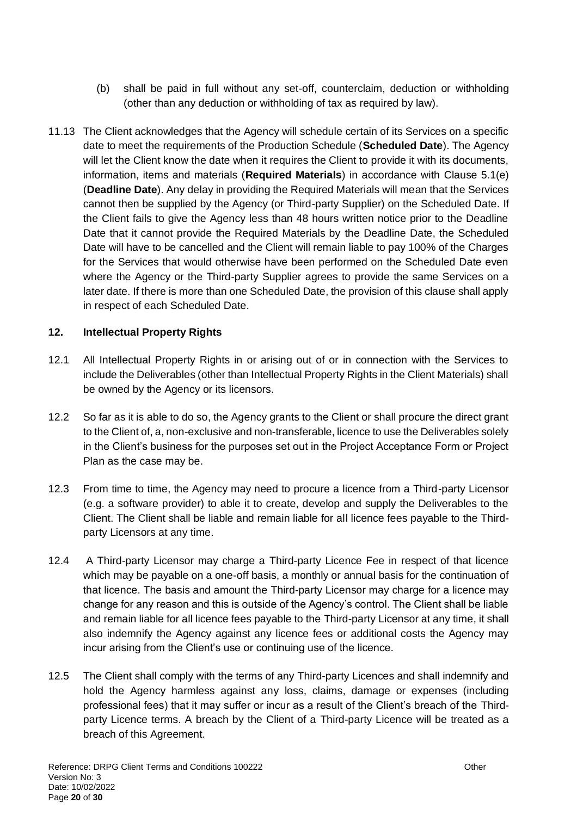- (b) shall be paid in full without any set-off, counterclaim, deduction or withholding (other than any deduction or withholding of tax as required by law).
- 11.13 The Client acknowledges that the Agency will schedule certain of its Services on a specific date to meet the requirements of the Production Schedule (**Scheduled Date**). The Agency will let the Client know the date when it requires the Client to provide it with its documents, information, items and materials (**Required Materials**) in accordance with Clause 5.1(e) (**Deadline Date**). Any delay in providing the Required Materials will mean that the Services cannot then be supplied by the Agency (or Third-party Supplier) on the Scheduled Date. If the Client fails to give the Agency less than 48 hours written notice prior to the Deadline Date that it cannot provide the Required Materials by the Deadline Date, the Scheduled Date will have to be cancelled and the Client will remain liable to pay 100% of the Charges for the Services that would otherwise have been performed on the Scheduled Date even where the Agency or the Third-party Supplier agrees to provide the same Services on a later date. If there is more than one Scheduled Date, the provision of this clause shall apply in respect of each Scheduled Date.

## **12. Intellectual Property Rights**

- 12.1 All Intellectual Property Rights in or arising out of or in connection with the Services to include the Deliverables (other than Intellectual Property Rights in the Client Materials) shall be owned by the Agency or its licensors.
- <span id="page-19-0"></span>12.2 So far as it is able to do so, the Agency grants to the Client or shall procure the direct grant to the Client of, a, non-exclusive and non-transferable, licence to use the Deliverables solely in the Client's business for the purposes set out in the Project Acceptance Form or Project Plan as the case may be.
- 12.3 From time to time, the Agency may need to procure a licence from a Third-party Licensor (e.g. a software provider) to able it to create, develop and supply the Deliverables to the Client. The Client shall be liable and remain liable for all licence fees payable to the Thirdparty Licensors at any time.
- 12.4 A Third-party Licensor may charge a Third-party Licence Fee in respect of that licence which may be payable on a one-off basis, a monthly or annual basis for the continuation of that licence. The basis and amount the Third-party Licensor may charge for a licence may change for any reason and this is outside of the Agency's control. The Client shall be liable and remain liable for all licence fees payable to the Third-party Licensor at any time, it shall also indemnify the Agency against any licence fees or additional costs the Agency may incur arising from the Client's use or continuing use of the licence.
- 12.5 The Client shall comply with the terms of any Third-party Licences and shall indemnify and hold the Agency harmless against any loss, claims, damage or expenses (including professional fees) that it may suffer or incur as a result of the Client's breach of the Thirdparty Licence terms. A breach by the Client of a Third-party Licence will be treated as a breach of this Agreement.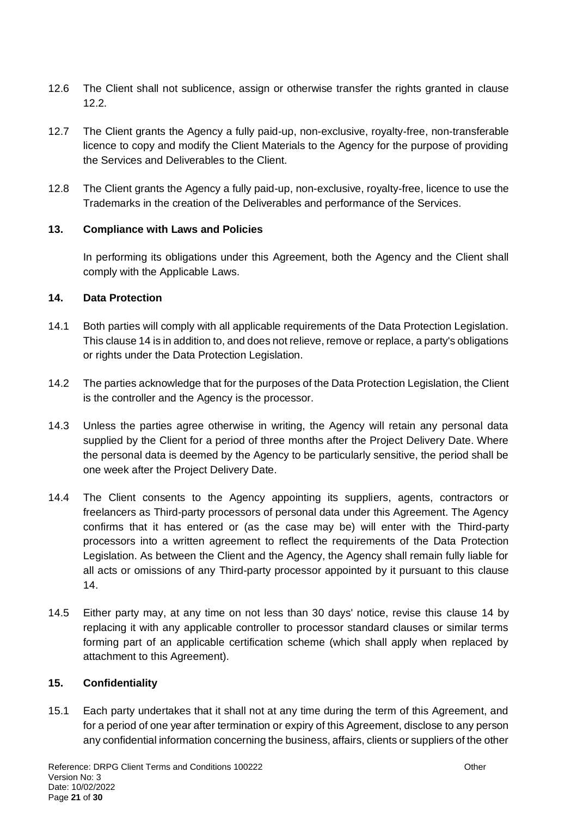- 12.6 The Client shall not sublicence, assign or otherwise transfer the rights granted in [clause](#page-19-0)  [12.2](#page-19-0)*.*
- 12.7 The Client grants the Agency a fully paid-up, non-exclusive, royalty-free, non-transferable licence to copy and modify the Client Materials to the Agency for the purpose of providing the Services and Deliverables to the Client.
- 12.8 The Client grants the Agency a fully paid-up, non-exclusive, royalty-free, licence to use the Trademarks in the creation of the Deliverables and performance of the Services.

### **13. Compliance with Laws and Policies**

In performing its obligations under this Agreement, both the Agency and the Client shall comply with the Applicable Laws.

## <span id="page-20-0"></span>**14. Data Protection**

- 14.1 Both parties will comply with all applicable requirements of the Data Protection Legislation. This [clause 14](#page-20-0) is in addition to, and does not relieve, remove or replace, a party's obligations or rights under the Data Protection Legislation.
- 14.2 The parties acknowledge that for the purposes of the Data Protection Legislation, the Client is the controller and the Agency is the processor.
- 14.3 Unless the parties agree otherwise in writing, the Agency will retain any personal data supplied by the Client for a period of three months after the Project Delivery Date. Where the personal data is deemed by the Agency to be particularly sensitive, the period shall be one week after the Project Delivery Date.
- 14.4 The Client consents to the Agency appointing its suppliers, agents, contractors or freelancers as Third-party processors of personal data under this Agreement. The Agency confirms that it has entered or (as the case may be) will enter with the Third-party processors into a written agreement to reflect the requirements of the Data Protection Legislation. As between the Client and the Agency, the Agency shall remain fully liable for all acts or omissions of any Third-party processor appointed by it pursuant to this [clause](#page-20-0)  [14.](#page-20-0)
- 14.5 Either party may, at any time on not less than 30 days' notice, revise this [clause 14](#page-20-0) by replacing it with any applicable controller to processor standard clauses or similar terms forming part of an applicable certification scheme (which shall apply when replaced by attachment to this Agreement).

### <span id="page-20-1"></span>**15. Confidentiality**

15.1 Each party undertakes that it shall not at any time during the term of this Agreement, and for a period of one year after termination or expiry of this Agreement, disclose to any person any confidential information concerning the business, affairs, clients or suppliers of the other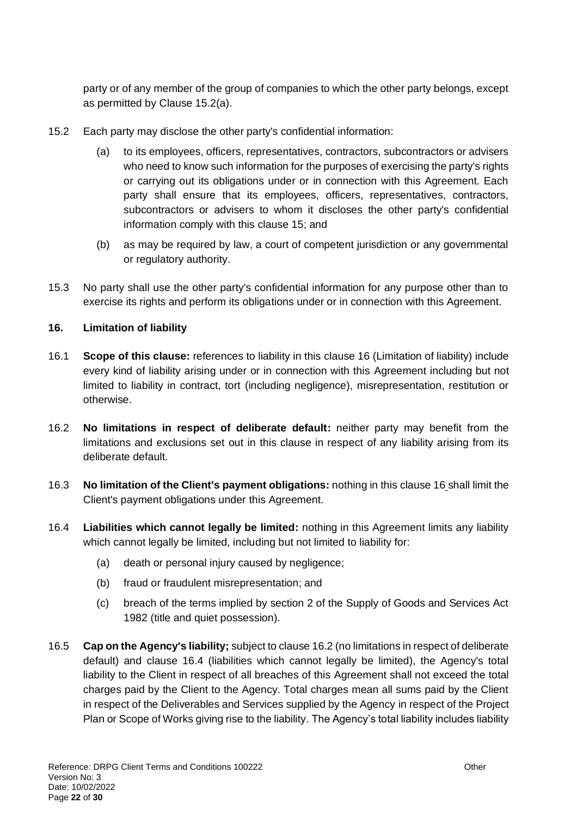party or of any member of the group of companies to which the other party belongs, except as permitted by Clause [15.2\(a\).](#page-21-1)

- <span id="page-21-1"></span>15.2 Each party may disclose the other party's confidential information:
	- (a) to its employees, officers, representatives, contractors, subcontractors or advisers who need to know such information for the purposes of exercising the party's rights or carrying out its obligations under or in connection with this Agreement. Each party shall ensure that its employees, officers, representatives, contractors, subcontractors or advisers to whom it discloses the other party's confidential information comply with this [clause 15;](#page-20-1) and
	- (b) as may be required by law, a court of competent jurisdiction or any governmental or regulatory authority.
- 15.3 No party shall use the other party's confidential information for any purpose other than to exercise its rights and perform its obligations under or in connection with this Agreement.

## <span id="page-21-0"></span>**16. Limitation of liability**

- 16.1 **Scope of this clause:** references to liability in this [clause 16](#page-21-0) (Limitation of liability) include every kind of liability arising under or in connection with this Agreement including but not limited to liability in contract, tort (including negligence), misrepresentation, restitution or otherwise.
- <span id="page-21-2"></span>16.2 **No limitations in respect of deliberate default:** neither party may benefit from the limitations and exclusions set out in this clause in respect of any liability arising from its deliberate default.
- <span id="page-21-4"></span>16.3 **No limitation of the Client's payment obligations:** nothing in this [clause 16](#page-21-0) shall limit the Client's payment obligations under this Agreement.
- <span id="page-21-3"></span>16.4 **Liabilities which cannot legally be limited:** nothing in this Agreement limits any liability which cannot legally be limited, including but not limited to liability for:
	- (a) death or personal injury caused by negligence;
	- (b) fraud or fraudulent misrepresentation; and
	- (c) breach of the terms implied by section 2 of the Supply of Goods and Services Act 1982 (title and quiet possession).
- 16.5 **Cap on the Agency's liability;** subject t[o clause 16.2](#page-21-2) (no limitations in respect of deliberate default) and [clause 16.4](#page-21-3) (liabilities which cannot legally be limited), the Agency's total liability to the Client in respect of all breaches of this Agreement shall not exceed the total charges paid by the Client to the Agency. Total charges mean all sums paid by the Client in respect of the Deliverables and Services supplied by the Agency in respect of the Project Plan or Scope of Works giving rise to the liability. The Agency's total liability includes liability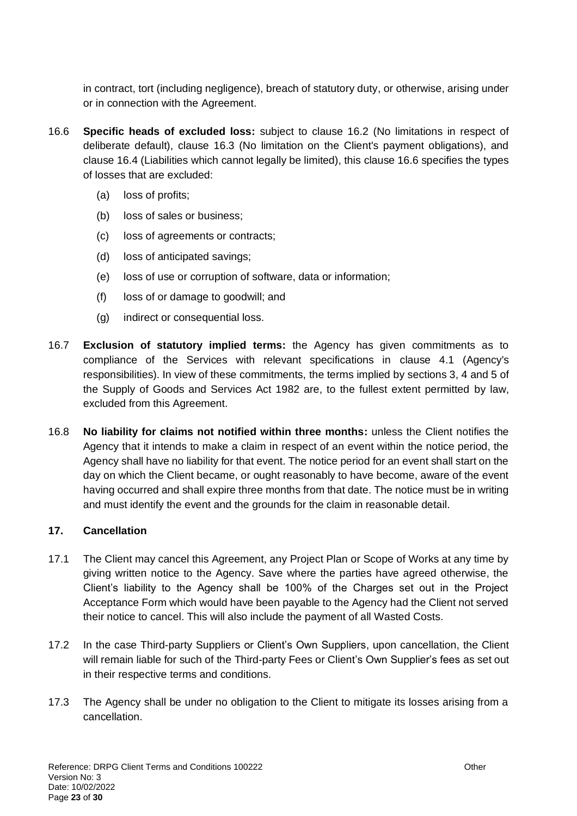in contract, tort (including negligence), breach of statutory duty, or otherwise, arising under or in connection with the Agreement.

- <span id="page-22-1"></span>16.6 **Specific heads of excluded loss:** subject to [clause 16.2](#page-21-2) (No limitations in respect of deliberate default), [clause 16.3](#page-21-4) (No limitation on the Client's payment obligations), and [clause 16.4](#page-21-3) (Liabilities which cannot legally be limited), this [clause 16.6](#page-22-1) specifies the types of losses that are excluded:
	- (a) loss of profits;
	- (b) loss of sales or business;
	- (c) loss of agreements or contracts;
	- (d) loss of anticipated savings;
	- (e) loss of use or corruption of software, data or information;
	- (f) loss of or damage to goodwill; and
	- (g) indirect or consequential loss.
- 16.7 **Exclusion of statutory implied terms:** the Agency has given commitments as to compliance of the Services with relevant specifications in [clause 4.1](#page-5-2) (Agency's responsibilities). In view of these commitments, the terms implied by sections 3, 4 and 5 of the Supply of Goods and Services Act 1982 are, to the fullest extent permitted by law, excluded from this Agreement.
- 16.8 **No liability for claims not notified within three months:** unless the Client notifies the Agency that it intends to make a claim in respect of an event within the notice period, the Agency shall have no liability for that event. The notice period for an event shall start on the day on which the Client became, or ought reasonably to have become, aware of the event having occurred and shall expire three months from that date. The notice must be in writing and must identify the event and the grounds for the claim in reasonable detail.

### <span id="page-22-0"></span>**17. Cancellation**

- 17.1 The Client may cancel this Agreement, any Project Plan or Scope of Works at any time by giving written notice to the Agency. Save where the parties have agreed otherwise, the Client's liability to the Agency shall be 100% of the Charges set out in the Project Acceptance Form which would have been payable to the Agency had the Client not served their notice to cancel. This will also include the payment of all Wasted Costs.
- 17.2 In the case Third-party Suppliers or Client's Own Suppliers, upon cancellation, the Client will remain liable for such of the Third-party Fees or Client's Own Supplier's fees as set out in their respective terms and conditions.
- 17.3 The Agency shall be under no obligation to the Client to mitigate its losses arising from a cancellation.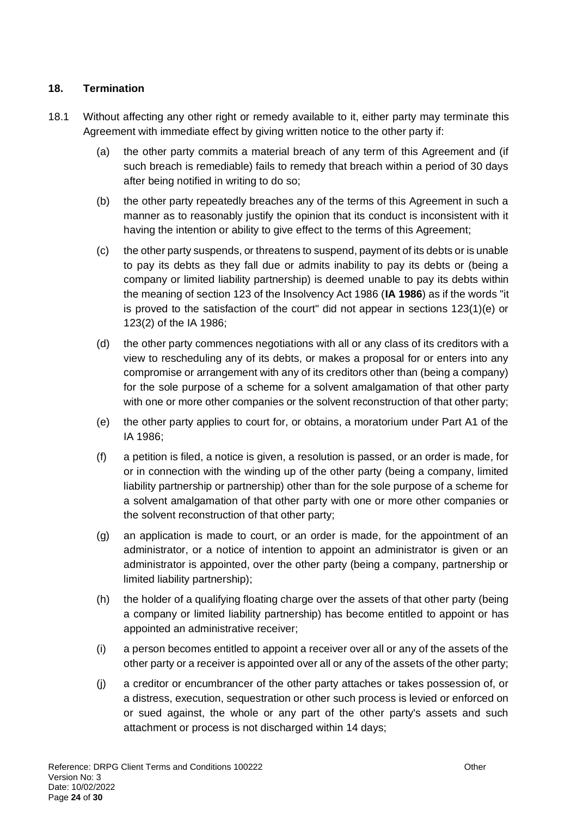## **18. Termination**

- <span id="page-23-0"></span>18.1 Without affecting any other right or remedy available to it, either party may terminate this Agreement with immediate effect by giving written notice to the other party if:
	- (a) the other party commits a material breach of any term of this Agreement and (if such breach is remediable) fails to remedy that breach within a period of 30 days after being notified in writing to do so;
	- (b) the other party repeatedly breaches any of the terms of this Agreement in such a manner as to reasonably justify the opinion that its conduct is inconsistent with it having the intention or ability to give effect to the terms of this Agreement;
	- (c) the other party suspends, or threatens to suspend, payment of its debts or is unable to pay its debts as they fall due or admits inability to pay its debts or (being a company or limited liability partnership) is deemed unable to pay its debts within the meaning of section 123 of the Insolvency Act 1986 (**IA 1986**) as if the words "it is proved to the satisfaction of the court" did not appear in sections 123(1)(e) or 123(2) of the IA 1986;
	- (d) the other party commences negotiations with all or any class of its creditors with a view to rescheduling any of its debts, or makes a proposal for or enters into any compromise or arrangement with any of its creditors other than (being a company) for the sole purpose of a scheme for a solvent amalgamation of that other party with one or more other companies or the solvent reconstruction of that other party;
	- (e) the other party applies to court for, or obtains, a moratorium under Part A1 of the IA 1986;
	- (f) a petition is filed, a notice is given, a resolution is passed, or an order is made, for or in connection with the winding up of the other party (being a company, limited liability partnership or partnership) other than for the sole purpose of a scheme for a solvent amalgamation of that other party with one or more other companies or the solvent reconstruction of that other party;
	- (g) an application is made to court, or an order is made, for the appointment of an administrator, or a notice of intention to appoint an administrator is given or an administrator is appointed, over the other party (being a company, partnership or limited liability partnership);
	- (h) the holder of a qualifying floating charge over the assets of that other party (being a company or limited liability partnership) has become entitled to appoint or has appointed an administrative receiver;
	- (i) a person becomes entitled to appoint a receiver over all or any of the assets of the other party or a receiver is appointed over all or any of the assets of the other party;
	- (j) a creditor or encumbrancer of the other party attaches or takes possession of, or a distress, execution, sequestration or other such process is levied or enforced on or sued against, the whole or any part of the other party's assets and such attachment or process is not discharged within 14 days;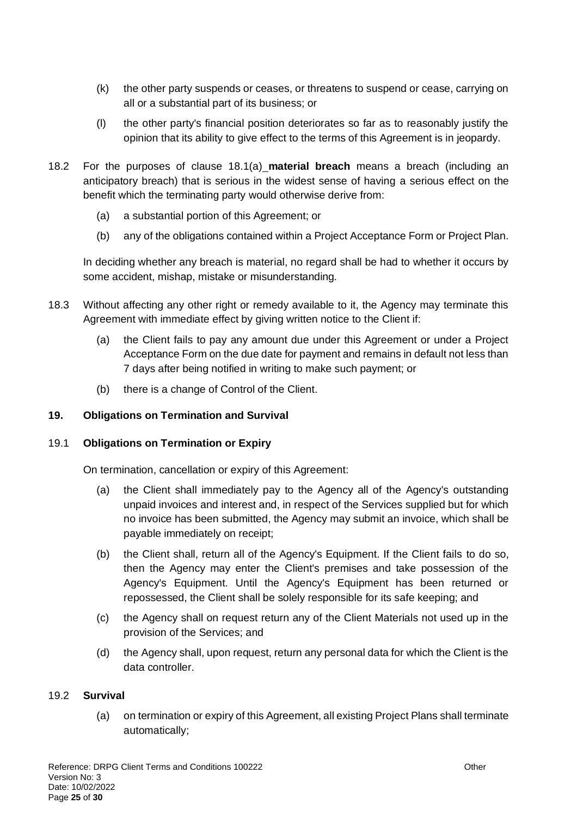- (k) the other party suspends or ceases, or threatens to suspend or cease, carrying on all or a substantial part of its business; or
- (l) the other party's financial position deteriorates so far as to reasonably justify the opinion that its ability to give effect to the terms of this Agreement is in jeopardy.
- 18.2 For the purposes of [clause 18.1\(a\)](#page-23-0) **material breach** means a breach (including an anticipatory breach) that is serious in the widest sense of having a serious effect on the benefit which the terminating party would otherwise derive from:
	- (a) a substantial portion of this Agreement; or
	- (b) any of the obligations contained within a Project Acceptance Form or Project Plan.

In deciding whether any breach is material, no regard shall be had to whether it occurs by some accident, mishap, mistake or misunderstanding.

- 18.3 Without affecting any other right or remedy available to it, the Agency may terminate this Agreement with immediate effect by giving written notice to the Client if:
	- (a) the Client fails to pay any amount due under this Agreement or under a Project Acceptance Form on the due date for payment and remains in default not less than 7 days after being notified in writing to make such payment; or
	- (b) there is a change of Control of the Client.

#### **19. Obligations on Termination and Survival**

#### 19.1 **Obligations on Termination or Expiry**

On termination, cancellation or expiry of this Agreement:

- (a) the Client shall immediately pay to the Agency all of the Agency's outstanding unpaid invoices and interest and, in respect of the Services supplied but for which no invoice has been submitted, the Agency may submit an invoice, which shall be payable immediately on receipt;
- (b) the Client shall, return all of the Agency's Equipment. If the Client fails to do so, then the Agency may enter the Client's premises and take possession of the Agency's Equipment. Until the Agency's Equipment has been returned or repossessed, the Client shall be solely responsible for its safe keeping; and
- (c) the Agency shall on request return any of the Client Materials not used up in the provision of the Services; and
- (d) the Agency shall, upon request, return any personal data for which the Client is the data controller.

#### 19.2 **Survival**

(a) on termination or expiry of this Agreement, all existing Project Plans shall terminate automatically;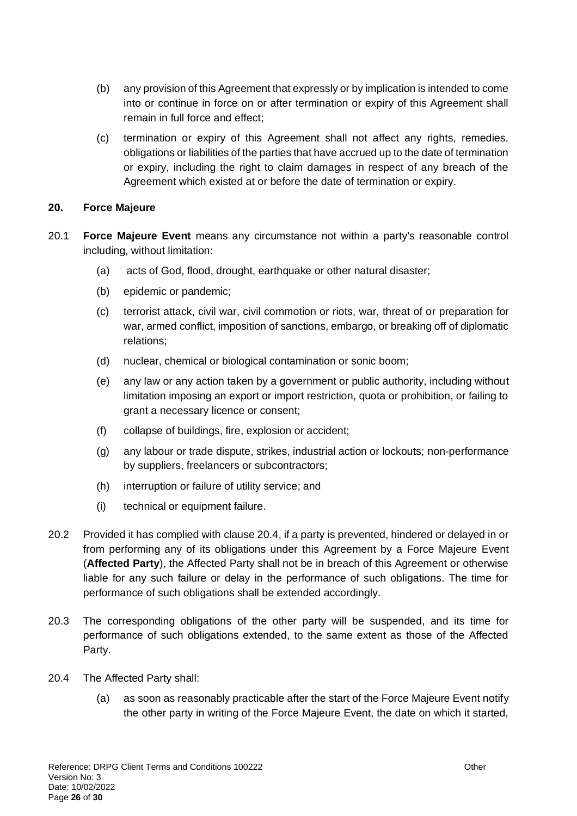- (b) any provision of this Agreement that expressly or by implication is intended to come into or continue in force on or after termination or expiry of this Agreement shall remain in full force and effect;
- (c) termination or expiry of this Agreement shall not affect any rights, remedies, obligations or liabilities of the parties that have accrued up to the date of termination or expiry, including the right to claim damages in respect of any breach of the Agreement which existed at or before the date of termination or expiry.

### **20. Force Majeure**

- 20.1 **Force Majeure Event** means any circumstance not within a party's reasonable control including, without limitation:
	- (a) acts of God, flood, drought, earthquake or other natural disaster;
	- (b) epidemic or pandemic;
	- (c) terrorist attack, civil war, civil commotion or riots, war, threat of or preparation for war, armed conflict, imposition of sanctions, embargo, or breaking off of diplomatic relations;
	- (d) nuclear, chemical or biological contamination or sonic boom;
	- (e) any law or any action taken by a government or public authority, including without limitation imposing an export or import restriction, quota or prohibition, or failing to grant a necessary licence or consent;
	- (f) collapse of buildings, fire, explosion or accident;
	- (g) any labour or trade dispute, strikes, industrial action or lockouts; non-performance by suppliers, freelancers or subcontractors;
	- (h) interruption or failure of utility service; and
	- (i) technical or equipment failure.
- 20.2 Provided it has complied with [clause 20.4,](#page-25-0) if a party is prevented, hindered or delayed in or from performing any of its obligations under this Agreement by a Force Majeure Event (**Affected Party**), the Affected Party shall not be in breach of this Agreement or otherwise liable for any such failure or delay in the performance of such obligations. The time for performance of such obligations shall be extended accordingly.
- 20.3 The corresponding obligations of the other party will be suspended, and its time for performance of such obligations extended, to the same extent as those of the Affected Party.
- <span id="page-25-0"></span>20.4 The Affected Party shall:
	- (a) as soon as reasonably practicable after the start of the Force Majeure Event notify the other party in writing of the Force Majeure Event, the date on which it started,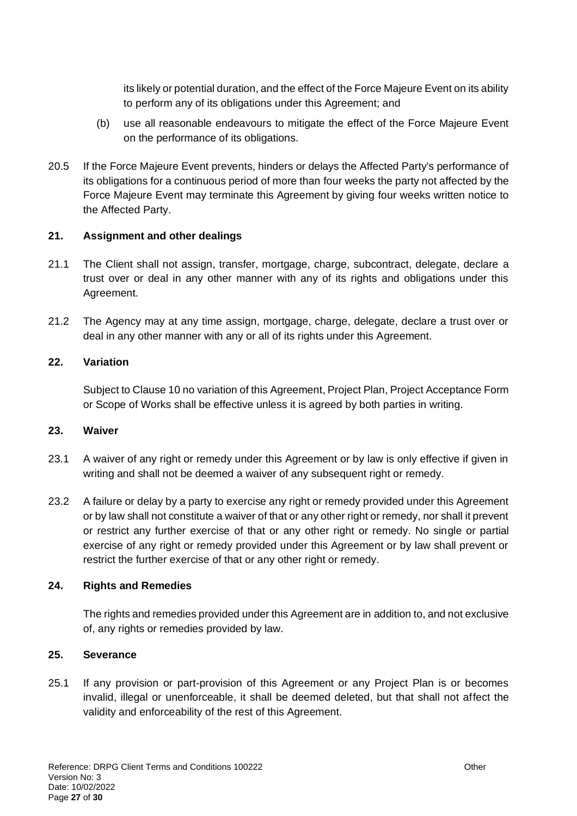its likely or potential duration, and the effect of the Force Majeure Event on its ability to perform any of its obligations under this Agreement; and

- (b) use all reasonable endeavours to mitigate the effect of the Force Majeure Event on the performance of its obligations.
- 20.5 If the Force Majeure Event prevents, hinders or delays the Affected Party's performance of its obligations for a continuous period of more than four weeks the party not affected by the Force Majeure Event may terminate this Agreement by giving four weeks written notice to the Affected Party.

#### **21. Assignment and other dealings**

- 21.1 The Client shall not assign, transfer, mortgage, charge, subcontract, delegate, declare a trust over or deal in any other manner with any of its rights and obligations under this Agreement.
- 21.2 The Agency may at any time assign, mortgage, charge, delegate, declare a trust over or deal in any other manner with any or all of its rights under this Agreement.

#### **22. Variation**

Subject to Claus[e 10](#page-16-1) no variation of this Agreement, Project Plan, Project Acceptance Form or Scope of Works shall be effective unless it is agreed by both parties in writing.

#### **23. Waiver**

- 23.1 A waiver of any right or remedy under this Agreement or by law is only effective if given in writing and shall not be deemed a waiver of any subsequent right or remedy.
- 23.2 A failure or delay by a party to exercise any right or remedy provided under this Agreement or by law shall not constitute a waiver of that or any other right or remedy, nor shall it prevent or restrict any further exercise of that or any other right or remedy. No single or partial exercise of any right or remedy provided under this Agreement or by law shall prevent or restrict the further exercise of that or any other right or remedy.

### **24. Rights and Remedies**

The rights and remedies provided under this Agreement are in addition to, and not exclusive of, any rights or remedies provided by law.

#### **25. Severance**

<span id="page-26-0"></span>25.1 If any provision or part-provision of this Agreement or any Project Plan is or becomes invalid, illegal or unenforceable, it shall be deemed deleted, but that shall not affect the validity and enforceability of the rest of this Agreement.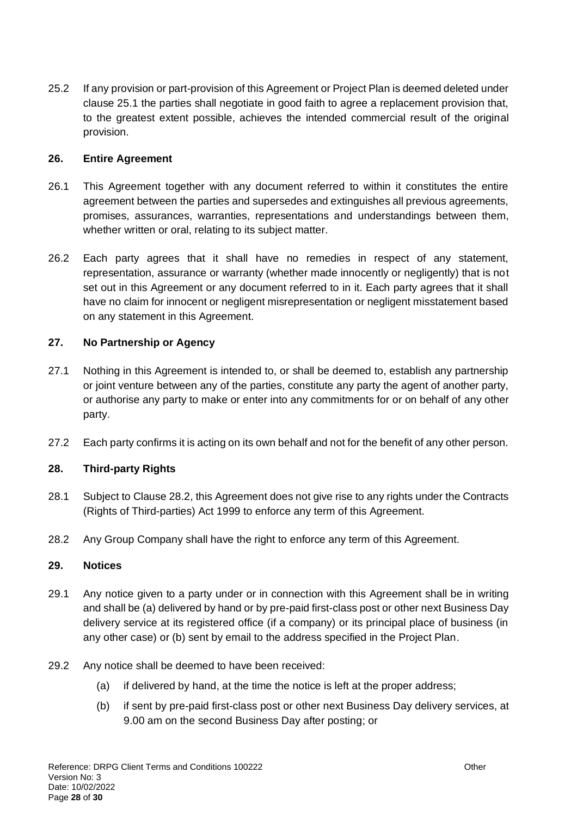25.2 If any provision or part-provision of this Agreement or Project Plan is deemed deleted under [clause 25.1](#page-26-0) the parties shall negotiate in good faith to agree a replacement provision that, to the greatest extent possible, achieves the intended commercial result of the original provision.

#### **26. Entire Agreement**

- 26.1 This Agreement together with any document referred to within it constitutes the entire agreement between the parties and supersedes and extinguishes all previous agreements, promises, assurances, warranties, representations and understandings between them, whether written or oral, relating to its subject matter.
- 26.2 Each party agrees that it shall have no remedies in respect of any statement, representation, assurance or warranty (whether made innocently or negligently) that is not set out in this Agreement or any document referred to in it. Each party agrees that it shall have no claim for innocent or negligent misrepresentation or negligent misstatement based on any statement in this Agreement.

### **27. No Partnership or Agency**

- 27.1 Nothing in this Agreement is intended to, or shall be deemed to, establish any partnership or joint venture between any of the parties, constitute any party the agent of another party, or authorise any party to make or enter into any commitments for or on behalf of any other party.
- 27.2 Each party confirms it is acting on its own behalf and not for the benefit of any other person.

### **28. Third-party Rights**

- 28.1 Subject to Clause [28.2,](#page-27-0) this Agreement does not give rise to any rights under the Contracts (Rights of Third-parties) Act 1999 to enforce any term of this Agreement.
- <span id="page-27-0"></span>28.2 Any Group Company shall have the right to enforce any term of this Agreement.

#### **29. Notices**

- 29.1 Any notice given to a party under or in connection with this Agreement shall be in writing and shall be (a) delivered by hand or by pre-paid first-class post or other next Business Day delivery service at its registered office (if a company) or its principal place of business (in any other case) or (b) sent by email to the address specified in the Project Plan.
- <span id="page-27-1"></span>29.2 Any notice shall be deemed to have been received:
	- (a) if delivered by hand, at the time the notice is left at the proper address;
	- (b) if sent by pre-paid first-class post or other next Business Day delivery services, at 9.00 am on the second Business Day after posting; or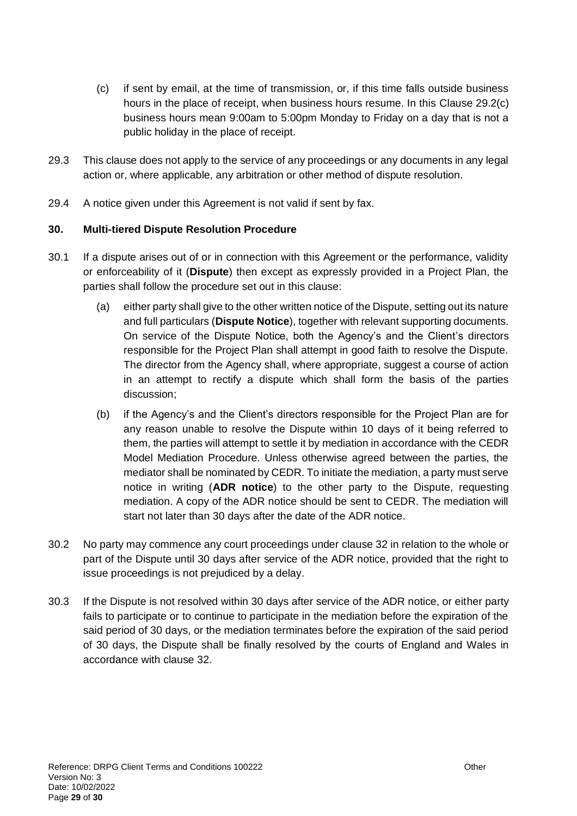- <span id="page-28-1"></span>(c) if sent by email, at the time of transmission, or, if this time falls outside business hours in the place of receipt, when business hours resume. In this Clause [29.2](#page-27-1)[\(c\)](#page-28-1) business hours mean 9:00am to 5:00pm Monday to Friday on a day that is not a public holiday in the place of receipt.
- 29.3 This clause does not apply to the service of any proceedings or any documents in any legal action or, where applicable, any arbitration or other method of dispute resolution.
- 29.4 A notice given under this Agreement is not valid if sent by fax.

### <span id="page-28-0"></span>**30. Multi-tiered Dispute Resolution Procedure**

- 30.1 If a dispute arises out of or in connection with this Agreement or the performance, validity or enforceability of it (**Dispute**) then except as expressly provided in a Project Plan, the parties shall follow the procedure set out in this clause:
	- (a) either party shall give to the other written notice of the Dispute, setting out its nature and full particulars (**Dispute Notice**), together with relevant supporting documents. On service of the Dispute Notice, both the Agency's and the Client's directors responsible for the Project Plan shall attempt in good faith to resolve the Dispute. The director from the Agency shall, where appropriate, suggest a course of action in an attempt to rectify a dispute which shall form the basis of the parties discussion;
	- (b) if the Agency's and the Client's directors responsible for the Project Plan are for any reason unable to resolve the Dispute within 10 days of it being referred to them, the parties will attempt to settle it by mediation in accordance with the CEDR Model Mediation Procedure. Unless otherwise agreed between the parties, the mediator shall be nominated by CEDR. To initiate the mediation, a party must serve notice in writing (**ADR notice**) to the other party to the Dispute, requesting mediation. A copy of the ADR notice should be sent to CEDR. The mediation will start not later than 30 days after the date of the ADR notice.
- 30.2 No party may commence any court proceedings under [clause 32](#page-29-0) in relation to the whole or part of the Dispute until 30 days after service of the ADR notice, provided that the right to issue proceedings is not prejudiced by a delay.
- 30.3 If the Dispute is not resolved within 30 days after service of the ADR notice, or either party fails to participate or to continue to participate in the mediation before the expiration of the said period of 30 days, or the mediation terminates before the expiration of the said period of 30 days, the Dispute shall be finally resolved by the courts of England and Wales in accordance with [clause 32.](#page-29-0)